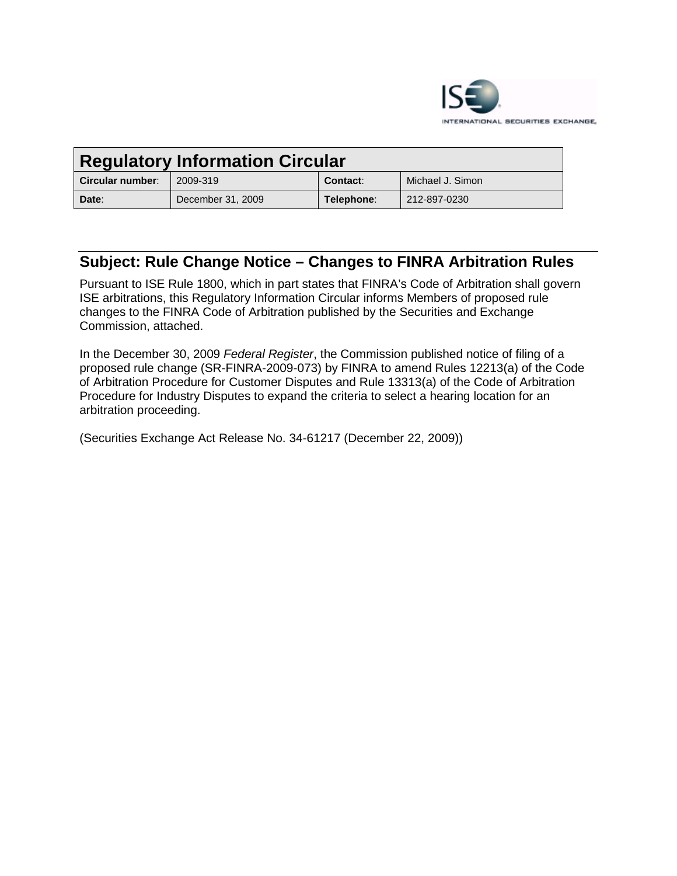

| <b>Regulatory Information Circular</b> |                   |            |                  |
|----------------------------------------|-------------------|------------|------------------|
| Circular number:                       | 2009-319          | Contact:   | Michael J. Simon |
| Date:                                  | December 31, 2009 | Telephone: | 212-897-0230     |

# **Subject: Rule Change Notice – Changes to FINRA Arbitration Rules**

Pursuant to ISE Rule 1800, which in part states that FINRA's Code of Arbitration shall govern ISE arbitrations, this Regulatory Information Circular informs Members of proposed rule changes to the FINRA Code of Arbitration published by the Securities and Exchange Commission, attached.

In the December 30, 2009 *Federal Register*, the Commission published notice of filing of a proposed rule change (SR-FINRA-2009-073) by FINRA to amend Rules 12213(a) of the Code of Arbitration Procedure for Customer Disputes and Rule 13313(a) of the Code of Arbitration Procedure for Industry Disputes to expand the criteria to select a hearing location for an arbitration proceeding.

(Securities Exchange Act Release No. 34-61217 (December 22, 2009))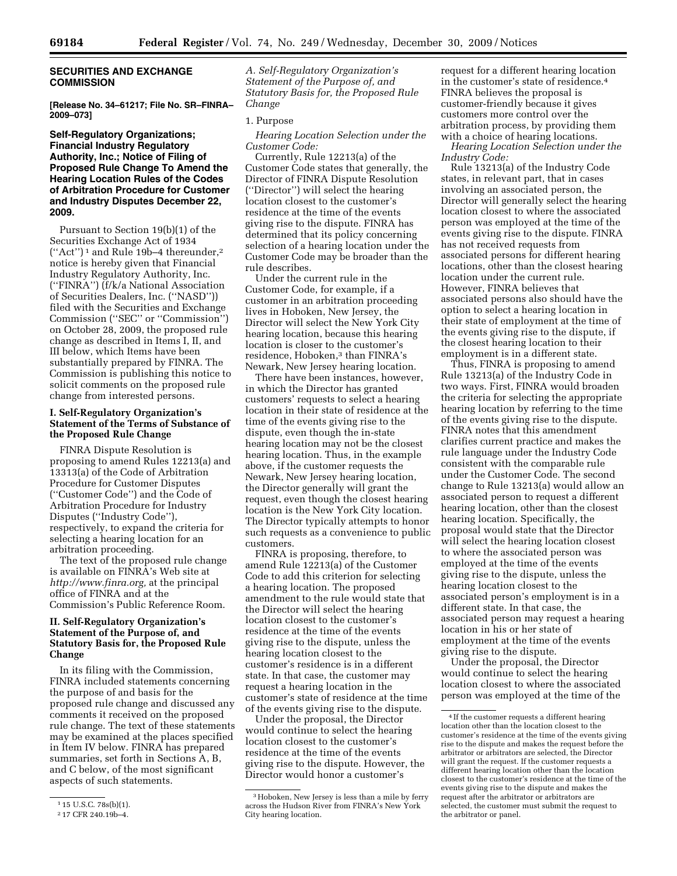## **SECURITIES AND EXCHANGE COMMISSION**

**[Release No. 34–61217; File No. SR–FINRA– 2009–073]** 

#### **Self-Regulatory Organizations; Financial Industry Regulatory Authority, Inc.; Notice of Filing of Proposed Rule Change To Amend the Hearing Location Rules of the Codes of Arbitration Procedure for Customer and Industry Disputes December 22, 2009.**

Pursuant to Section 19(b)(1) of the Securities Exchange Act of 1934 (''Act'') 1 and Rule 19b–4 thereunder,2 notice is hereby given that Financial Industry Regulatory Authority, Inc. (''FINRA'') (f/k/a National Association of Securities Dealers, Inc. (''NASD'')) filed with the Securities and Exchange Commission (''SEC'' or ''Commission'') on October 28, 2009, the proposed rule change as described in Items I, II, and III below, which Items have been substantially prepared by FINRA. The Commission is publishing this notice to solicit comments on the proposed rule change from interested persons.

## **I. Self-Regulatory Organization's Statement of the Terms of Substance of the Proposed Rule Change**

FINRA Dispute Resolution is proposing to amend Rules 12213(a) and 13313(a) of the Code of Arbitration Procedure for Customer Disputes (''Customer Code'') and the Code of Arbitration Procedure for Industry Disputes (''Industry Code''), respectively, to expand the criteria for selecting a hearing location for an arbitration proceeding.

The text of the proposed rule change is available on FINRA's Web site at *http://www.finra.org,* at the principal office of FINRA and at the Commission's Public Reference Room.

## **II. Self-Regulatory Organization's Statement of the Purpose of, and Statutory Basis for, the Proposed Rule Change**

In its filing with the Commission, FINRA included statements concerning the purpose of and basis for the proposed rule change and discussed any comments it received on the proposed rule change. The text of these statements may be examined at the places specified in Item IV below. FINRA has prepared summaries, set forth in Sections A, B, and C below, of the most significant aspects of such statements.

*A. Self-Regulatory Organization's Statement of the Purpose of, and Statutory Basis for, the Proposed Rule Change* 

#### 1. Purpose

*Hearing Location Selection under the Customer Code:* 

Currently, Rule 12213(a) of the Customer Code states that generally, the Director of FINRA Dispute Resolution (''Director'') will select the hearing location closest to the customer's residence at the time of the events giving rise to the dispute. FINRA has determined that its policy concerning selection of a hearing location under the Customer Code may be broader than the rule describes.

Under the current rule in the Customer Code, for example, if a customer in an arbitration proceeding lives in Hoboken, New Jersey, the Director will select the New York City hearing location, because this hearing location is closer to the customer's residence, Hoboken,<sup>3</sup> than FINRA's Newark, New Jersey hearing location.

There have been instances, however, in which the Director has granted customers' requests to select a hearing location in their state of residence at the time of the events giving rise to the dispute, even though the in-state hearing location may not be the closest hearing location. Thus, in the example above, if the customer requests the Newark, New Jersey hearing location, the Director generally will grant the request, even though the closest hearing location is the New York City location. The Director typically attempts to honor such requests as a convenience to public customers.

FINRA is proposing, therefore, to amend Rule 12213(a) of the Customer Code to add this criterion for selecting a hearing location. The proposed amendment to the rule would state that the Director will select the hearing location closest to the customer's residence at the time of the events giving rise to the dispute, unless the hearing location closest to the customer's residence is in a different state. In that case, the customer may request a hearing location in the customer's state of residence at the time of the events giving rise to the dispute.

Under the proposal, the Director would continue to select the hearing location closest to the customer's residence at the time of the events giving rise to the dispute. However, the Director would honor a customer's

request for a different hearing location in the customer's state of residence.4 FINRA believes the proposal is customer-friendly because it gives customers more control over the arbitration process, by providing them with a choice of hearing locations. *Hearing Location Selection under the* 

*Industry Code:* 

Rule 13213(a) of the Industry Code states, in relevant part, that in cases involving an associated person, the Director will generally select the hearing location closest to where the associated person was employed at the time of the events giving rise to the dispute. FINRA has not received requests from associated persons for different hearing locations, other than the closest hearing location under the current rule. However, FINRA believes that associated persons also should have the option to select a hearing location in their state of employment at the time of the events giving rise to the dispute, if the closest hearing location to their employment is in a different state.

Thus, FINRA is proposing to amend Rule 13213(a) of the Industry Code in two ways. First, FINRA would broaden the criteria for selecting the appropriate hearing location by referring to the time of the events giving rise to the dispute. FINRA notes that this amendment clarifies current practice and makes the rule language under the Industry Code consistent with the comparable rule under the Customer Code. The second change to Rule 13213(a) would allow an associated person to request a different hearing location, other than the closest hearing location. Specifically, the proposal would state that the Director will select the hearing location closest to where the associated person was employed at the time of the events giving rise to the dispute, unless the hearing location closest to the associated person's employment is in a different state. In that case, the associated person may request a hearing location in his or her state of employment at the time of the events giving rise to the dispute.

Under the proposal, the Director would continue to select the hearing location closest to where the associated person was employed at the time of the

<sup>1</sup> 15 U.S.C. 78s(b)(1).

<sup>2</sup> 17 CFR 240.19b–4.

<sup>&</sup>lt;sup>3</sup> Hoboken, New Jersey is less than a mile by ferry across the Hudson River from FINRA's New York City hearing location.

<sup>4</sup> If the customer requests a different hearing location other than the location closest to the customer's residence at the time of the events giving rise to the dispute and makes the request before the arbitrator or arbitrators are selected, the Director will grant the request. If the customer requests a different hearing location other than the location closest to the customer's residence at the time of the events giving rise to the dispute and makes the request after the arbitrator or arbitrators are selected, the customer must submit the request to the arbitrator or panel.